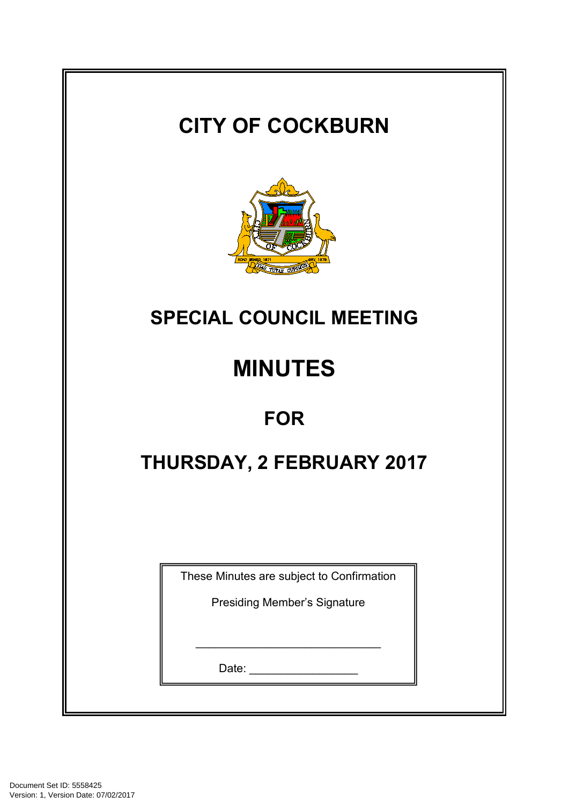# **CITY OF COCKBURN SPECIAL COUNCIL MEETING MINUTES FOR THURSDAY, 2 FEBRUARY 2017** These Minutes are subject to Confirmation Presiding Member's Signature  $\overline{\phantom{a}}$  , where  $\overline{\phantom{a}}$  , where  $\overline{\phantom{a}}$  , where  $\overline{\phantom{a}}$  ,  $\overline{\phantom{a}}$  ,  $\overline{\phantom{a}}$  ,  $\overline{\phantom{a}}$  ,  $\overline{\phantom{a}}$  ,  $\overline{\phantom{a}}$  ,  $\overline{\phantom{a}}$  ,  $\overline{\phantom{a}}$  ,  $\overline{\phantom{a}}$  ,  $\overline{\phantom{a}}$  ,  $\overline{\phantom{a}}$  ,  $\overline{\phantom$ Date: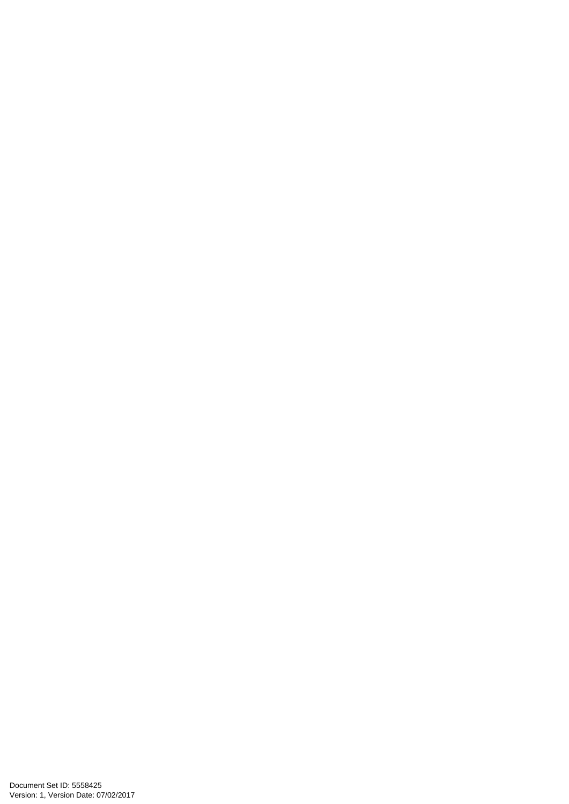Document Set ID: 5558425<br>Version: 1, Version Date: 07/02/2017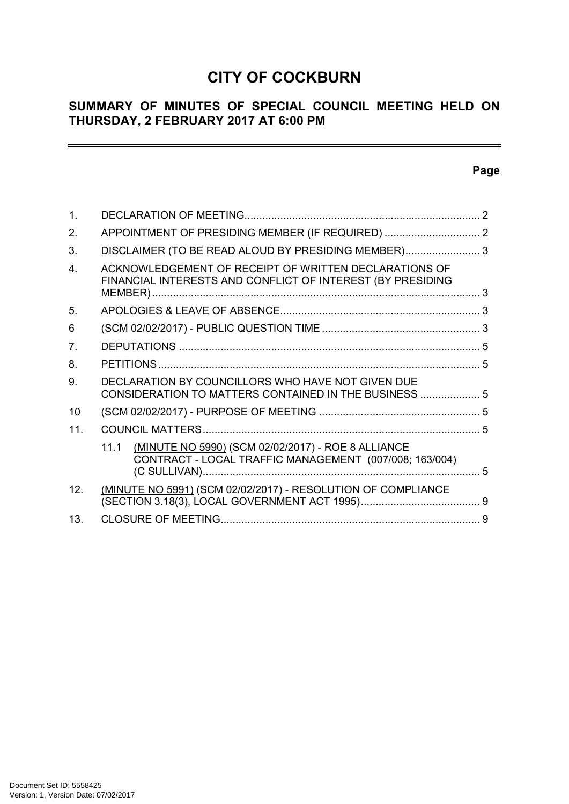# **CITY OF COCKBURN**

## **SUMMARY OF MINUTES OF SPECIAL COUNCIL MEETING HELD ON THURSDAY, 2 FEBRUARY 2017 AT 6:00 PM**

## **Page**

 $\overline{\phantom{a}}$ 

| $\mathbf{1}$ . |                                                                                                                      |  |
|----------------|----------------------------------------------------------------------------------------------------------------------|--|
| 2.             |                                                                                                                      |  |
| 3.             | DISCLAIMER (TO BE READ ALOUD BY PRESIDING MEMBER)3                                                                   |  |
| $\mathbf{4}$   | ACKNOWLEDGEMENT OF RECEIPT OF WRITTEN DECLARATIONS OF<br>FINANCIAL INTERESTS AND CONFLICT OF INTEREST (BY PRESIDING  |  |
| 5.             |                                                                                                                      |  |
| 6              |                                                                                                                      |  |
| 7 <sub>1</sub> |                                                                                                                      |  |
| 8.             |                                                                                                                      |  |
| 9.             | DECLARATION BY COUNCILLORS WHO HAVE NOT GIVEN DUE<br>CONSIDERATION TO MATTERS CONTAINED IN THE BUSINESS  5           |  |
| 10             |                                                                                                                      |  |
| 11.            |                                                                                                                      |  |
|                | (MINUTE NO 5990) (SCM 02/02/2017) - ROE 8 ALLIANCE<br>11.1<br>CONTRACT - LOCAL TRAFFIC MANAGEMENT (007/008; 163/004) |  |
| 12.            | (MINUTE NO 5991) (SCM 02/02/2017) - RESOLUTION OF COMPLIANCE                                                         |  |
| 13.            |                                                                                                                      |  |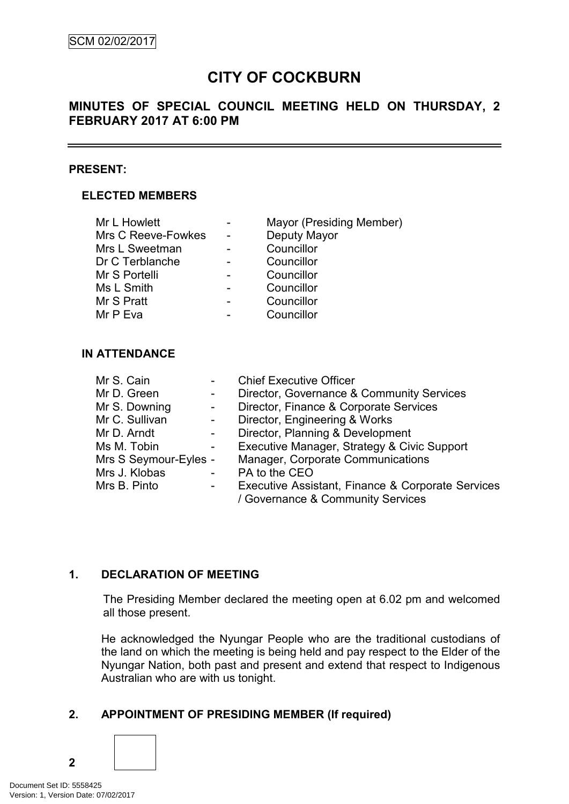# **CITY OF COCKBURN**

## **MINUTES OF SPECIAL COUNCIL MEETING HELD ON THURSDAY, 2 FEBRUARY 2017 AT 6:00 PM**

#### **PRESENT:**

#### **ELECTED MEMBERS**

| Mr L Howlett       | Mayor (Presiding Member) |
|--------------------|--------------------------|
| Mrs C Reeve-Fowkes | Deputy Mayor             |
| Mrs L Sweetman     | Councillor               |
| Dr C Terblanche    | Councillor               |
| Mr S Portelli      | Councillor               |
| Ms L Smith         | Councillor               |
| Mr S Pratt         | Councillor               |
| Mr P Eva           | Councillor               |
|                    |                          |

#### **IN ATTENDANCE**

| Mr S. Cain            |                          | <b>Chief Executive Officer</b>                    |
|-----------------------|--------------------------|---------------------------------------------------|
| Mr D. Green           | $\overline{\phantom{a}}$ | Director, Governance & Community Services         |
| Mr S. Downing         | $\overline{\phantom{a}}$ | Director, Finance & Corporate Services            |
| Mr C. Sullivan        | $\sim 100$               | Director, Engineering & Works                     |
| Mr D. Arndt           | $\blacksquare$           | Director, Planning & Development                  |
| Ms M. Tobin           | $\sim$ 100 $\mu$         | Executive Manager, Strategy & Civic Support       |
| Mrs S Seymour-Eyles - |                          | Manager, Corporate Communications                 |
| Mrs J. Klobas         |                          | PA to the CEO                                     |
| Mrs B. Pinto          | $\overline{\phantom{a}}$ | Executive Assistant, Finance & Corporate Services |
|                       |                          | / Governance & Community Services                 |

#### **1. DECLARATION OF MEETING**

The Presiding Member declared the meeting open at 6.02 pm and welcomed all those present.

He acknowledged the Nyungar People who are the traditional custodians of the land on which the meeting is being held and pay respect to the Elder of the Nyungar Nation, both past and present and extend that respect to Indigenous Australian who are with us tonight.

#### **2. APPOINTMENT OF PRESIDING MEMBER (If required)**



**2**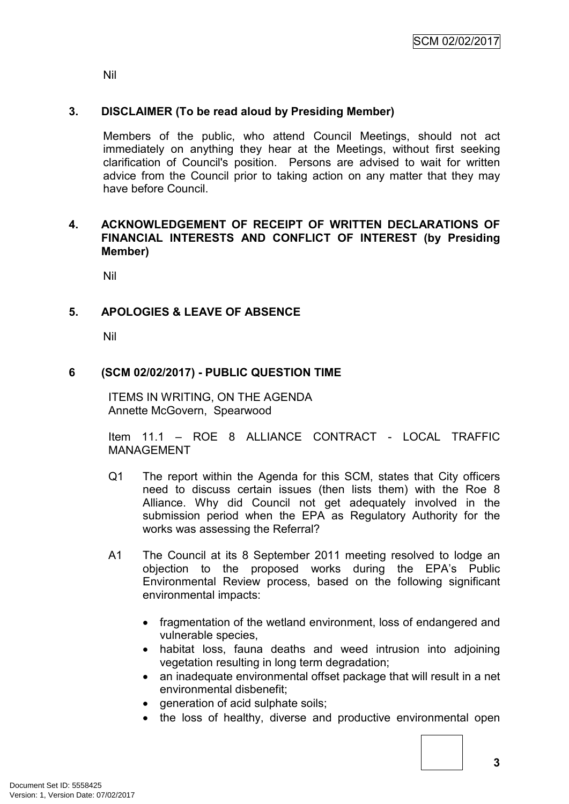Nil

## **3. DISCLAIMER (To be read aloud by Presiding Member)**

Members of the public, who attend Council Meetings, should not act immediately on anything they hear at the Meetings, without first seeking clarification of Council's position. Persons are advised to wait for written advice from the Council prior to taking action on any matter that they may have before Council.

#### **4. ACKNOWLEDGEMENT OF RECEIPT OF WRITTEN DECLARATIONS OF FINANCIAL INTERESTS AND CONFLICT OF INTEREST (by Presiding Member)**

Nil

## **5. APOLOGIES & LEAVE OF ABSENCE**

Nil

### **6 (SCM 02/02/2017) - PUBLIC QUESTION TIME**

ITEMS IN WRITING, ON THE AGENDA Annette McGovern, Spearwood

Item 11.1 – ROE 8 ALLIANCE CONTRACT - LOCAL TRAFFIC MANAGEMENT

- Q1 The report within the Agenda for this SCM, states that City officers need to discuss certain issues (then lists them) with the Roe 8 Alliance. Why did Council not get adequately involved in the submission period when the EPA as Regulatory Authority for the works was assessing the Referral?
- A1 The Council at its 8 September 2011 meeting resolved to lodge an objection to the proposed works during the EPA's Public Environmental Review process, based on the following significant environmental impacts:
	- fragmentation of the wetland environment, loss of endangered and vulnerable species,
	- habitat loss, fauna deaths and weed intrusion into adjoining vegetation resulting in long term degradation;
	- an inadequate environmental offset package that will result in a net environmental disbenefit;
	- generation of acid sulphate soils;
	- the loss of healthy, diverse and productive environmental open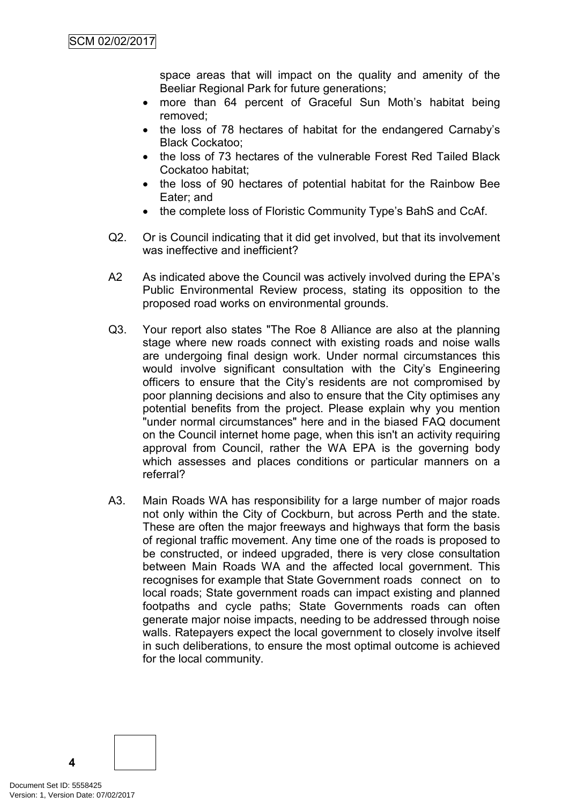space areas that will impact on the quality and amenity of the Beeliar Regional Park for future generations;

- more than 64 percent of Graceful Sun Moth's habitat being removed;
- the loss of 78 hectares of habitat for the endangered Carnaby's Black Cockatoo;
- the loss of 73 hectares of the vulnerable Forest Red Tailed Black Cockatoo habitat;
- the loss of 90 hectares of potential habitat for the Rainbow Bee Eater; and
- the complete loss of Floristic Community Type's BahS and CcAf.
- Q2. Or is Council indicating that it did get involved, but that its involvement was ineffective and inefficient?
- A2 As indicated above the Council was actively involved during the EPA's Public Environmental Review process, stating its opposition to the proposed road works on environmental grounds.
- Q3. Your report also states "The Roe 8 Alliance are also at the planning stage where new roads connect with existing roads and noise walls are undergoing final design work. Under normal circumstances this would involve significant consultation with the City's Engineering officers to ensure that the City's residents are not compromised by poor planning decisions and also to ensure that the City optimises any potential benefits from the project. Please explain why you mention "under normal circumstances" here and in the biased FAQ document on the Council internet home page, when this isn't an activity requiring approval from Council, rather the WA EPA is the governing body which assesses and places conditions or particular manners on a referral?
- A3. Main Roads WA has responsibility for a large number of major roads not only within the City of Cockburn, but across Perth and the state. These are often the major freeways and highways that form the basis of regional traffic movement. Any time one of the roads is proposed to be constructed, or indeed upgraded, there is very close consultation between Main Roads WA and the affected local government. This recognises for example that State Government roads connect on to local roads; State government roads can impact existing and planned footpaths and cycle paths; State Governments roads can often generate major noise impacts, needing to be addressed through noise walls. Ratepayers expect the local government to closely involve itself in such deliberations, to ensure the most optimal outcome is achieved for the local community.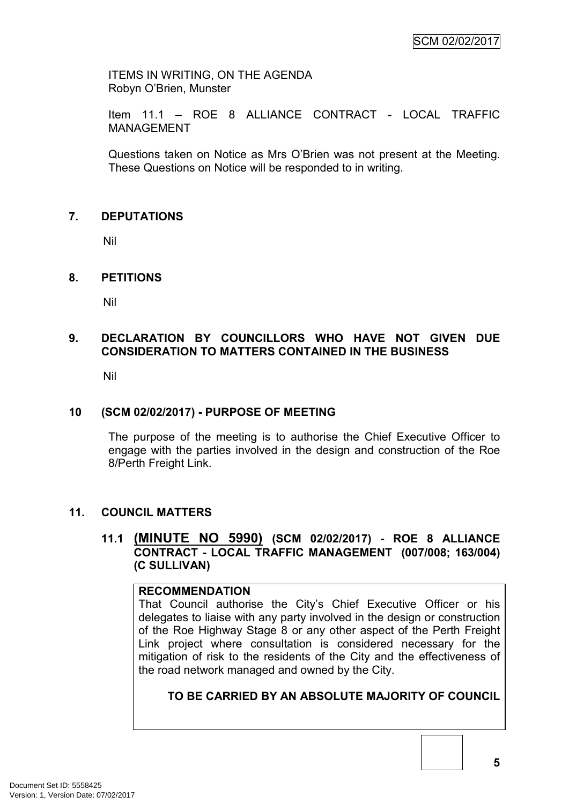ITEMS IN WRITING, ON THE AGENDA Robyn O'Brien, Munster

Item 11.1 – ROE 8 ALLIANCE CONTRACT - LOCAL TRAFFIC MANAGEMENT

Questions taken on Notice as Mrs O'Brien was not present at the Meeting. These Questions on Notice will be responded to in writing.

## **7. DEPUTATIONS**

Nil

## **8. PETITIONS**

Nil

## **9. DECLARATION BY COUNCILLORS WHO HAVE NOT GIVEN DUE CONSIDERATION TO MATTERS CONTAINED IN THE BUSINESS**

Nil

## **10 (SCM 02/02/2017) - PURPOSE OF MEETING**

The purpose of the meeting is to authorise the Chief Executive Officer to engage with the parties involved in the design and construction of the Roe 8/Perth Freight Link.

## **11. COUNCIL MATTERS**

## **11.1 (MINUTE NO 5990) (SCM 02/02/2017) - ROE 8 ALLIANCE CONTRACT - LOCAL TRAFFIC MANAGEMENT (007/008; 163/004) (C SULLIVAN)**

#### **RECOMMENDATION**

That Council authorise the City's Chief Executive Officer or his delegates to liaise with any party involved in the design or construction of the Roe Highway Stage 8 or any other aspect of the Perth Freight Link project where consultation is considered necessary for the mitigation of risk to the residents of the City and the effectiveness of the road network managed and owned by the City.

## **TO BE CARRIED BY AN ABSOLUTE MAJORITY OF COUNCIL**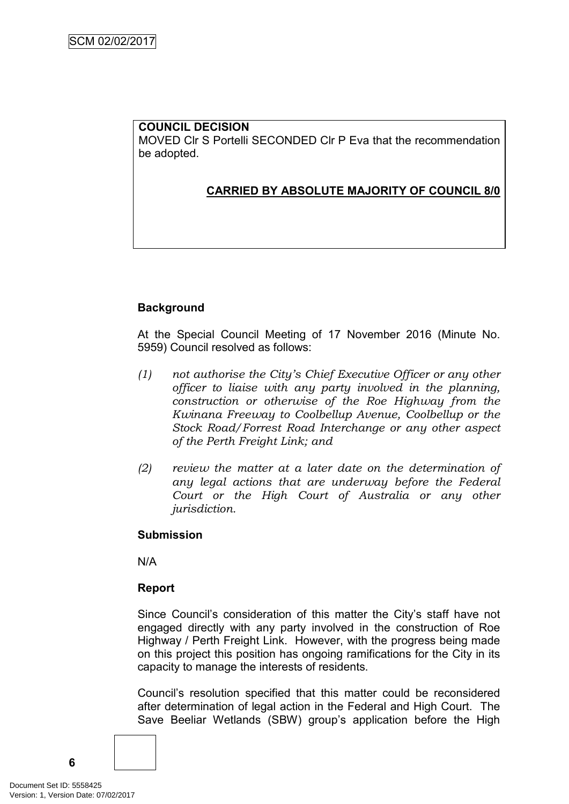#### **COUNCIL DECISION**

MOVED Clr S Portelli SECONDED Clr P Eva that the recommendation be adopted.

## **CARRIED BY ABSOLUTE MAJORITY OF COUNCIL 8/0**

## **Background**

At the Special Council Meeting of 17 November 2016 (Minute No. 5959) Council resolved as follows:

- *(1) not authorise the City's Chief Executive Officer or any other officer to liaise with any party involved in the planning, construction or otherwise of the Roe Highway from the Kwinana Freeway to Coolbellup Avenue, Coolbellup or the Stock Road/Forrest Road Interchange or any other aspect of the Perth Freight Link; and*
- *(2) review the matter at a later date on the determination of any legal actions that are underway before the Federal Court or the High Court of Australia or any other jurisdiction.*

## **Submission**

N/A

## **Report**

Since Council's consideration of this matter the City's staff have not engaged directly with any party involved in the construction of Roe Highway / Perth Freight Link. However, with the progress being made on this project this position has ongoing ramifications for the City in its capacity to manage the interests of residents.

Council's resolution specified that this matter could be reconsidered after determination of legal action in the Federal and High Court. The Save Beeliar Wetlands (SBW) group's application before the High



**6**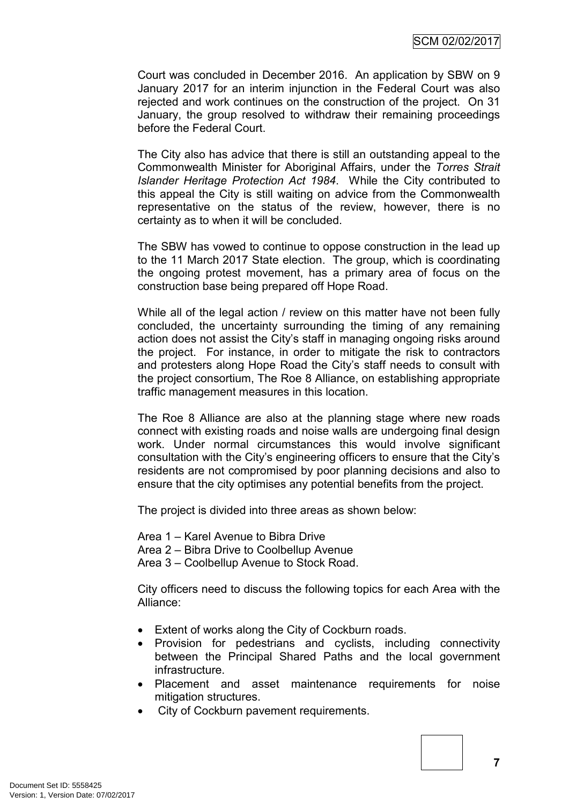Court was concluded in December 2016. An application by SBW on 9 January 2017 for an interim injunction in the Federal Court was also rejected and work continues on the construction of the project. On 31 January, the group resolved to withdraw their remaining proceedings before the Federal Court.

The City also has advice that there is still an outstanding appeal to the Commonwealth Minister for Aboriginal Affairs, under the *Torres Strait Islander Heritage Protection Act 1984*. While the City contributed to this appeal the City is still waiting on advice from the Commonwealth representative on the status of the review, however, there is no certainty as to when it will be concluded.

The SBW has vowed to continue to oppose construction in the lead up to the 11 March 2017 State election. The group, which is coordinating the ongoing protest movement, has a primary area of focus on the construction base being prepared off Hope Road.

While all of the legal action / review on this matter have not been fully concluded, the uncertainty surrounding the timing of any remaining action does not assist the City's staff in managing ongoing risks around the project. For instance, in order to mitigate the risk to contractors and protesters along Hope Road the City's staff needs to consult with the project consortium, The Roe 8 Alliance, on establishing appropriate traffic management measures in this location.

The Roe 8 Alliance are also at the planning stage where new roads connect with existing roads and noise walls are undergoing final design work. Under normal circumstances this would involve significant consultation with the City's engineering officers to ensure that the City's residents are not compromised by poor planning decisions and also to ensure that the city optimises any potential benefits from the project.

The project is divided into three areas as shown below:

Area 1 – Karel Avenue to Bibra Drive

Area 2 – Bibra Drive to Coolbellup Avenue

Area 3 – Coolbellup Avenue to Stock Road.

City officers need to discuss the following topics for each Area with the Alliance:

- Extent of works along the City of Cockburn roads.
- Provision for pedestrians and cyclists, including connectivity between the Principal Shared Paths and the local government infrastructure.
- Placement and asset maintenance requirements for noise mitigation structures.
- City of Cockburn pavement requirements.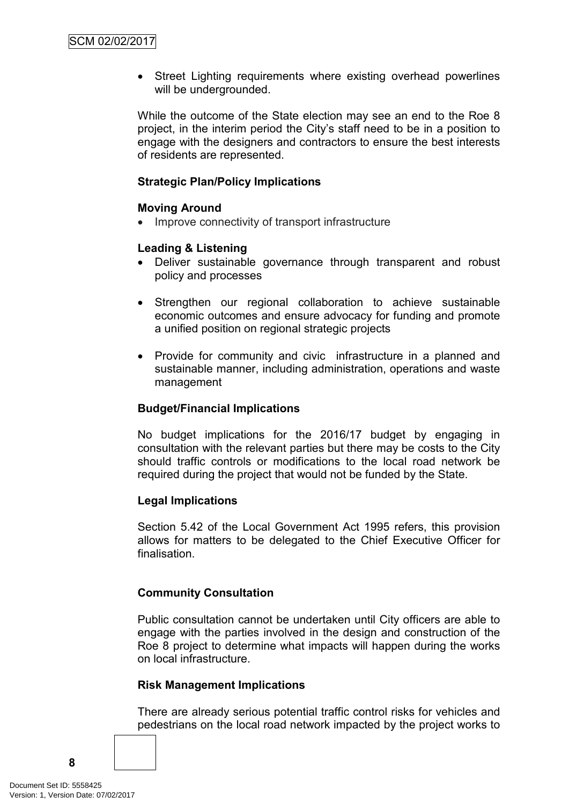• Street Lighting requirements where existing overhead powerlines will be undergrounded.

While the outcome of the State election may see an end to the Roe 8 project, in the interim period the City's staff need to be in a position to engage with the designers and contractors to ensure the best interests of residents are represented.

#### **Strategic Plan/Policy Implications**

### **Moving Around**

• Improve connectivity of transport infrastructure

## **Leading & Listening**

- Deliver sustainable governance through transparent and robust policy and processes
- Strengthen our regional collaboration to achieve sustainable economic outcomes and ensure advocacy for funding and promote a unified position on regional strategic projects
- Provide for community and civic infrastructure in a planned and sustainable manner, including administration, operations and waste management

#### **Budget/Financial Implications**

No budget implications for the 2016/17 budget by engaging in consultation with the relevant parties but there may be costs to the City should traffic controls or modifications to the local road network be required during the project that would not be funded by the State.

#### **Legal Implications**

Section 5.42 of the Local Government Act 1995 refers, this provision allows for matters to be delegated to the Chief Executive Officer for finalisation.

## **Community Consultation**

Public consultation cannot be undertaken until City officers are able to engage with the parties involved in the design and construction of the Roe 8 project to determine what impacts will happen during the works on local infrastructure.

#### **Risk Management Implications**

There are already serious potential traffic control risks for vehicles and pedestrians on the local road network impacted by the project works to